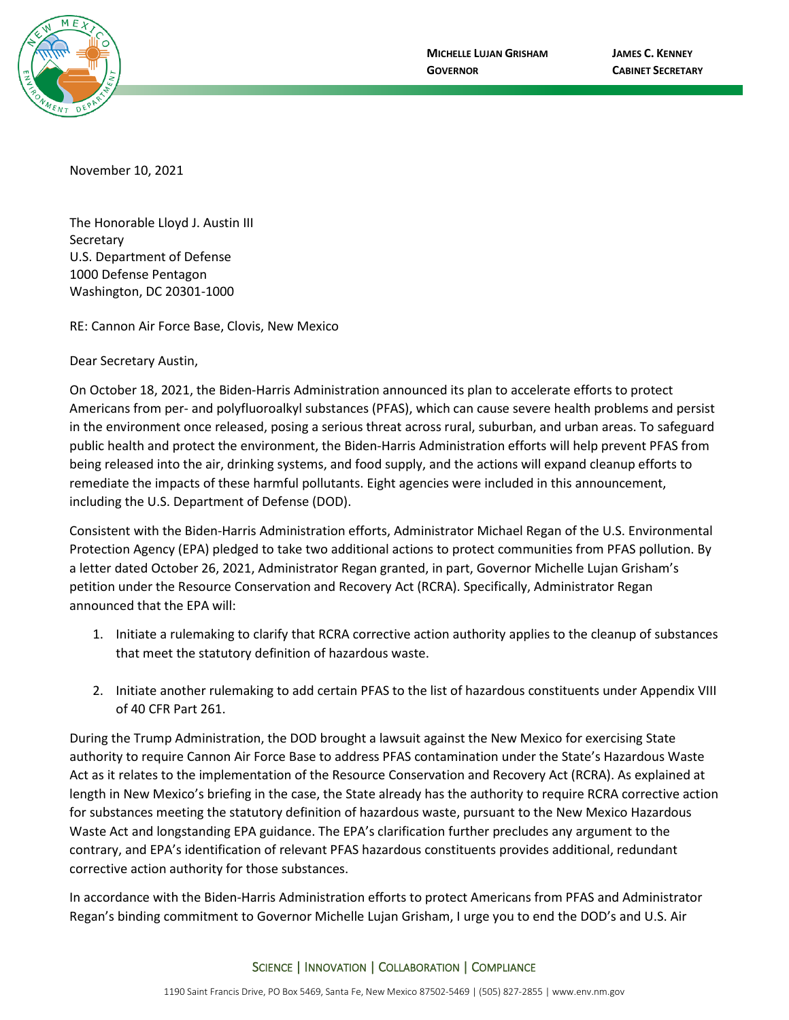

November 10, 2021

The Honorable Lloyd J. Austin III **Secretary** U.S. Department of Defense 1000 Defense Pentagon Washington, DC 20301-1000

RE: Cannon Air Force Base, Clovis, New Mexico

Dear Secretary Austin,

On October 18, 2021, the Biden-Harris Administration announced its plan to accelerate efforts to protect Americans from per- and polyfluoroalkyl substances (PFAS), which can cause severe health problems and persist in the environment once released, posing a serious threat across rural, suburban, and urban areas. To safeguard public health and protect the environment, the Biden-Harris Administration efforts will help prevent PFAS from being released into the air, drinking systems, and food supply, and the actions will expand cleanup efforts to remediate the impacts of these harmful pollutants. Eight agencies were included in this announcement, including the U.S. Department of Defense (DOD).

Consistent with the Biden-Harris Administration efforts, Administrator Michael Regan of the U.S. Environmental Protection Agency (EPA) pledged to take two additional actions to protect communities from PFAS pollution. By a letter dated October 26, 2021, Administrator Regan granted, in part, Governor Michelle Lujan Grisham's petition under the Resource Conservation and Recovery Act (RCRA). Specifically, Administrator Regan announced that the EPA will:

- 1. Initiate a rulemaking to clarify that RCRA corrective action authority applies to the cleanup of substances that meet the statutory definition of hazardous waste.
- 2. Initiate another rulemaking to add certain PFAS to the list of hazardous constituents under Appendix VIII of 40 CFR Part 261.

During the Trump Administration, the DOD brought a lawsuit against the New Mexico for exercising State authority to require Cannon Air Force Base to address PFAS contamination under the State's Hazardous Waste Act as it relates to the implementation of the Resource Conservation and Recovery Act (RCRA). As explained at length in New Mexico's briefing in the case, the State already has the authority to require RCRA corrective action for substances meeting the statutory definition of hazardous waste, pursuant to the New Mexico Hazardous Waste Act and longstanding EPA guidance. The EPA's clarification further precludes any argument to the contrary, and EPA's identification of relevant PFAS hazardous constituents provides additional, redundant corrective action authority for those substances.

In accordance with the Biden-Harris Administration efforts to protect Americans from PFAS and Administrator Regan's binding commitment to Governor Michelle Lujan Grisham, I urge you to end the DOD's and U.S. Air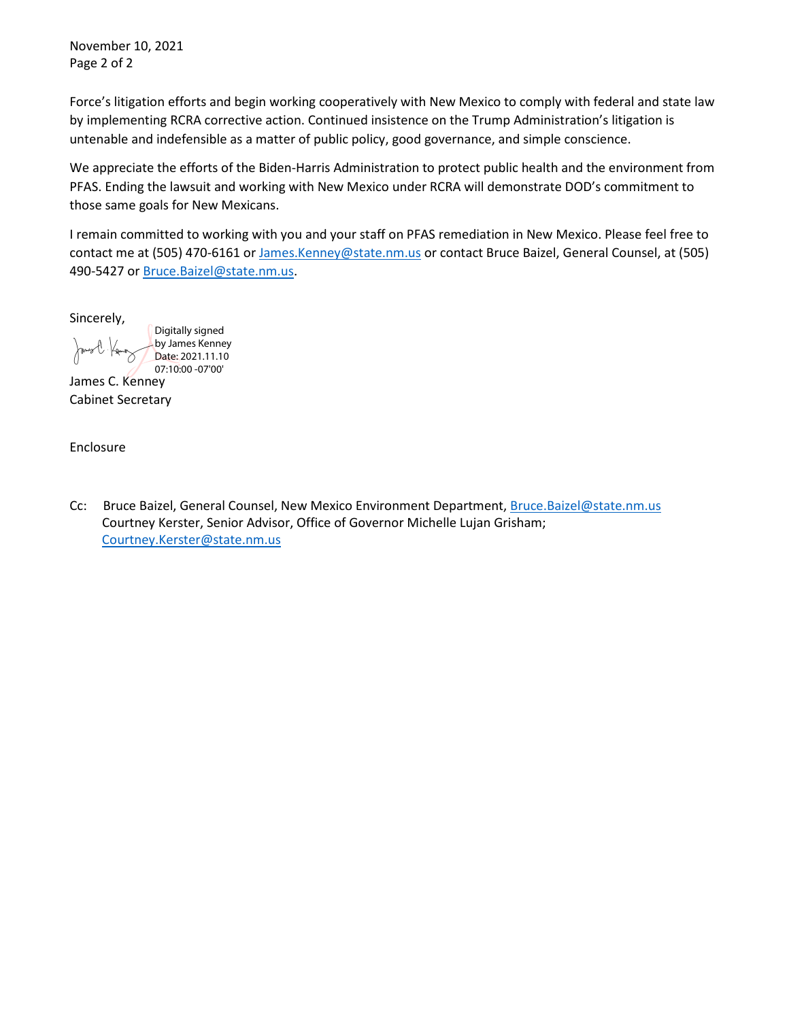November 10, 2021 Page 2 of 2

Force's litigation efforts and begin working cooperatively with New Mexico to comply with federal and state law by implementing RCRA corrective action. Continued insistence on the Trump Administration's litigation is untenable and indefensible as a matter of public policy, good governance, and simple conscience.

We appreciate the efforts of the Biden-Harris Administration to protect public health and the environment from PFAS. Ending the lawsuit and working with New Mexico under RCRA will demonstrate DOD's commitment to those same goals for New Mexicans.

I remain committed to working with you and your staff on PFAS remediation in New Mexico. Please feel free to contact me at (505) 470-6161 or [James.Kenney@state.nm.us](mailto:James.Kenney@state.nm.us) or contact Bruce Baizel, General Counsel, at (505) 490-5427 or [Bruce.Baizel@state.nm.us.](mailto:Bruce.Baizel@state.nm.us)

Sincerely,

Digitally signed by James Kenney Date: 2021.11.10 07:10:00 -07'00'

James C. Kenney Cabinet Secretary

Enclosure

Cc: Bruce Baizel, General Counsel, New Mexico Environment Department, [Bruce.Baizel@state.nm.us](mailto:Bruce.Baizel@state.nm.us) Courtney Kerster, Senior Advisor, Office of Governor Michelle Lujan Grisham; [Courtney.Kerster@state.nm.us](mailto:Courtney.Kerster@state.nm.us)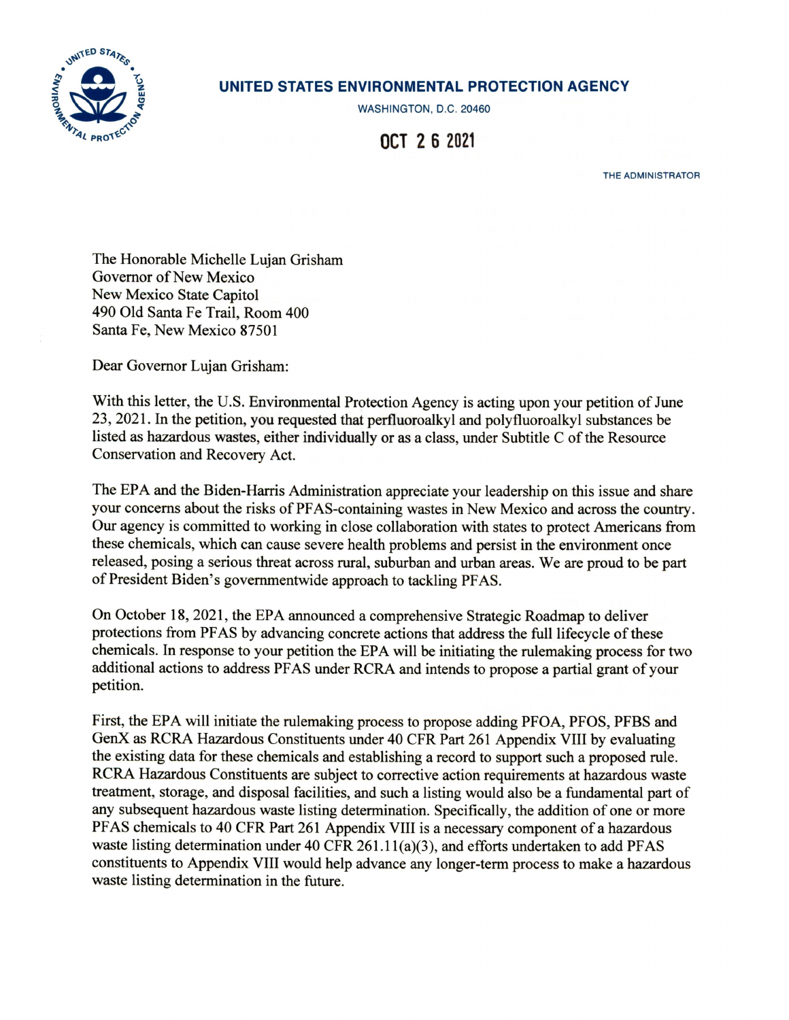

## UNITED STATES ENVIRONMENTAL PROTECTION AGENCY

WASHINGTON, D.C. 20460

OCT 2 6 2021

THE ADMINISTRATOR

The Honorable Michelle Lujan Grisham Governor of New Mexico New Mexico State Capitol 490 Old Santa Fe Trail, Room 400 Santa Fe, New Mexico 87501

Dear Governor Lujan Grisham:

With this letter, the U.S. Environmental Protection Agency is acting upon your petition of June 23, 2021. In the petition, you requested that perfluoroalkyl and polyfluoroalkyl substances be listed as hazardous wastes, either individually or as a class, under Subtitle C of the Resource Conservation and Recovery Act.

The EPA and the Biden-Harris Administration appreciate your leadership on this issue and share your concerns about the risks of PFAS-containing wastes in New Mexico and across the country. Our agency is committed to working in close collaboration with states to protect Americans from these chemicals, which can cause severe health problems and persist in the environment once released, posing a serious threat across rural, suburban and urban areas. We are proud to be part of President Biden's governmentwide approach to tackling PFAS.

On October 18, 2021, the EPA announced a comprehensive Strategic Roadmap to deliver protections from PFAS by advancing concrete actions that address the full lifecycle of these chemicals. In response to your petition the EPA will be initiating the rulemaking process for two additional actions to address PFAS under RCRA and intends to propose a partial grant of your petition.

First, the EPA will initiate the rulemaking process to propose adding PFOA, PFOS, PFBS and GenX as RCRA Hazardous Constituents under 40 CFR Part 261 Appendix VIII by evaluating the existing data for these chemicals and establishing a record to support such a proposed rule. RCRA Hazardous Constituents are subject to corrective action requirements at hazardous waste treatment, storage, and disposal facilities, and such a listing would also be a fundamental part of any subsequent hazardous waste listing determination. Specifically, the addition of one or more PFAS chemicals to 40 CFR Part 261 Appendix VIII is a necessary component of a hazardous waste listing determination under 40 CFR 261.11(a)(3), and efforts undertaken to add PFAS constituents to Appendix VIII would help advance any longer-term process to make a hazardous waste listing determination in the future.